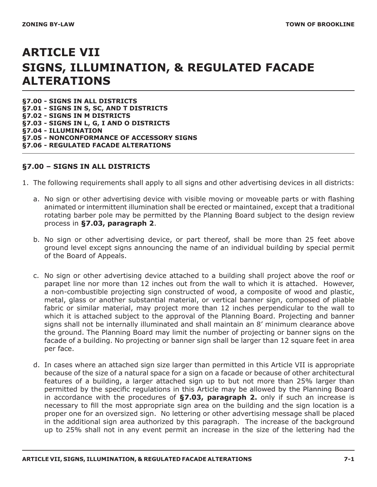# **ARTICLE VII SIGNS, ILLUMINATION, & REGULATED FACADE ALTERATIONS**

**§7.00 - SIGNS IN ALL DISTRICTS §7.01 - SIGNS IN S, SC, AND T DISTRICTS §7.02 - SIGNS IN M DISTRICTS §7.03 - SIGNS IN L, G, I AND O DISTRICTS §7.04 - ILLUMINATION §7.05 - NONCONFORMANCE OF ACCESSORY SIGNS §7.06 - REGULATED FACADE ALTERATIONS**

#### **§7.00 – SIGNS IN ALL DISTRICTS**

- 1. The following requirements shall apply to all signs and other advertising devices in all districts:
	- a. No sign or other advertising device with visible moving or moveable parts or with flashing animated or intermittent illumination shall be erected or maintained, except that a traditional rotating barber pole may be permitted by the Planning Board subject to the design review process in **§7.03, paragraph 2**.
	- b. No sign or other advertising device, or part thereof, shall be more than 25 feet above ground level except signs announcing the name of an individual building by special permit of the Board of Appeals.
	- c. No sign or other advertising device attached to a building shall project above the roof or parapet line nor more than 12 inches out from the wall to which it is attached. However, a non-combustible projecting sign constructed of wood, a composite of wood and plastic, metal, glass or another substantial material, or vertical banner sign, composed of pliable fabric or similar material, may project more than 12 inches perpendicular to the wall to which it is attached subject to the approval of the Planning Board. Projecting and banner signs shall not be internally illuminated and shall maintain an 8' minimum clearance above the ground. The Planning Board may limit the number of projecting or banner signs on the facade of a building. No projecting or banner sign shall be larger than 12 square feet in area per face.
	- d. In cases where an attached sign size larger than permitted in this Article VII is appropriate because of the size of a natural space for a sign on a facade or because of other architectural features of a building, a larger attached sign up to but not more than 25% larger than permitted by the specific regulations in this Article may be allowed by the Planning Board in accordance with the procedures of **§7.03, paragraph 2.** only if such an increase is necessary to fill the most appropriate sign area on the building and the sign location is a proper one for an oversized sign. No lettering or other advertising message shall be placed in the additional sign area authorized by this paragraph. The increase of the background up to 25% shall not in any event permit an increase in the size of the lettering had the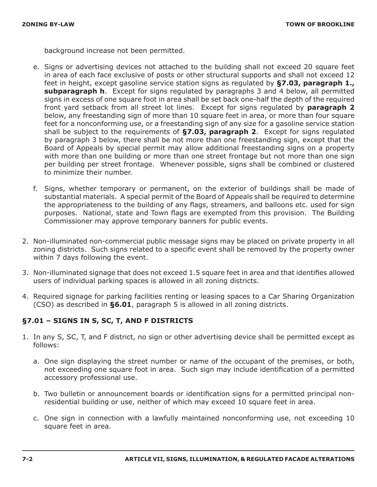background increase not been permitted.

- e. Signs or advertising devices not attached to the building shall not exceed 20 square feet in area of each face exclusive of posts or other structural supports and shall not exceed 12 feet in height, except gasoline service station signs as regulated by **§7.03, paragraph 1., subparagraph h**. Except for signs regulated by paragraphs 3 and 4 below, all permitted signs in excess of one square foot in area shall be set back one-half the depth of the required front yard setback from all street lot lines. Except for signs regulated by **paragraph 2**  below, any freestanding sign of more than 10 square feet in area, or more than four square feet for a nonconforming use, or a freestanding sign of any size for a gasoline service station shall be subject to the requirements of **§7.03, paragraph 2**. Except for signs regulated by paragraph 3 below, there shall be not more than one freestanding sign, except that the Board of Appeals by special permit may allow additional freestanding signs on a property with more than one building or more than one street frontage but not more than one sign per building per street frontage. Whenever possible, signs shall be combined or clustered to minimize their number.
- f. Signs, whether temporary or permanent, on the exterior of buildings shall be made of substantial materials. A special permit of the Board of Appeals shall be required to determine the appropriateness to the building of any flags, streamers, and balloons etc. used for sign purposes. National, state and Town flags are exempted from this provision. The Building Commissioner may approve temporary banners for public events.
- 2. Non-illuminated non-commercial public message signs may be placed on private property in all zoning districts. Such signs related to a specific event shall be removed by the property owner within 7 days following the event.
- 3. Non-illuminated signage that does not exceed 1.5 square feet in area and that identifies allowed users of individual parking spaces is allowed in all zoning districts.
- 4. Required signage for parking facilities renting or leasing spaces to a Car Sharing Organization (CSO) as described in **§6.01**, paragraph 5 is allowed in all zoning districts.

### **§7.01 – SIGNS IN S, SC, T, AND F DISTRICTS**

- 1. In any S, SC, T, and F district, no sign or other advertising device shall be permitted except as follows:
	- a. One sign displaying the street number or name of the occupant of the premises, or both, not exceeding one square foot in area. Such sign may include identification of a permitted accessory professional use.
	- b. Two bulletin or announcement boards or identification signs for a permitted principal nonresidential building or use, neither of which may exceed 10 square feet in area.
	- c. One sign in connection with a lawfully maintained nonconforming use, not exceeding 10 square feet in area.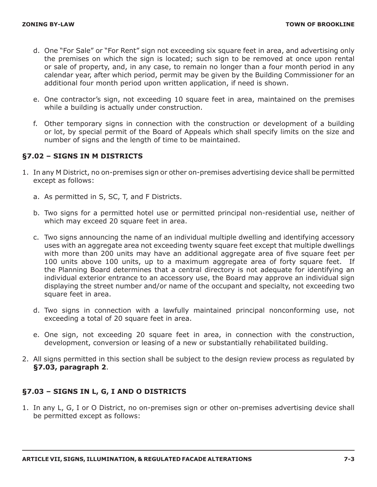- d. One "For Sale" or "For Rent" sign not exceeding six square feet in area, and advertising only the premises on which the sign is located; such sign to be removed at once upon rental or sale of property, and, in any case, to remain no longer than a four month period in any calendar year, after which period, permit may be given by the Building Commissioner for an additional four month period upon written application, if need is shown.
- e. One contractor's sign, not exceeding 10 square feet in area, maintained on the premises while a building is actually under construction.
- f. Other temporary signs in connection with the construction or development of a building or lot, by special permit of the Board of Appeals which shall specify limits on the size and number of signs and the length of time to be maintained.

#### **§7.02 – SIGNS IN M DISTRICTS**

- 1. In any M District, no on-premises sign or other on-premises advertising device shall be permitted except as follows:
	- a. As permitted in S, SC, T, and F Districts.
	- b. Two signs for a permitted hotel use or permitted principal non-residential use, neither of which may exceed 20 square feet in area.
	- c. Two signs announcing the name of an individual multiple dwelling and identifying accessory uses with an aggregate area not exceeding twenty square feet except that multiple dwellings with more than 200 units may have an additional aggregate area of five square feet per 100 units above 100 units, up to a maximum aggregate area of forty square feet. If the Planning Board determines that a central directory is not adequate for identifying an individual exterior entrance to an accessory use, the Board may approve an individual sign displaying the street number and/or name of the occupant and specialty, not exceeding two square feet in area.
	- d. Two signs in connection with a lawfully maintained principal nonconforming use, not exceeding a total of 20 square feet in area.
	- e. One sign, not exceeding 20 square feet in area, in connection with the construction, development, conversion or leasing of a new or substantially rehabilitated building.
- 2. All signs permitted in this section shall be subject to the design review process as regulated by **§7.03, paragraph 2**.

### **§7.03 – SIGNS IN L, G, I AND O DISTRICTS**

1. In any L, G, I or O District, no on-premises sign or other on-premises advertising device shall be permitted except as follows: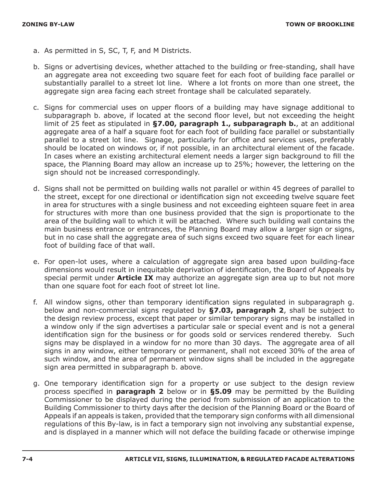- a. As permitted in S, SC, T, F, and M Districts.
- b. Signs or advertising devices, whether attached to the building or free-standing, shall have an aggregate area not exceeding two square feet for each foot of building face parallel or substantially parallel to a street lot line. Where a lot fronts on more than one street, the aggregate sign area facing each street frontage shall be calculated separately.
- c. Signs for commercial uses on upper floors of a building may have signage additional to subparagraph b. above, if located at the second floor level, but not exceeding the height limit of 25 feet as stipulated in **§7.00, paragraph 1., subparagraph b.**, at an additional aggregate area of a half a square foot for each foot of building face parallel or substantially parallel to a street lot line. Signage, particularly for office and services uses, preferably should be located on windows or, if not possible, in an architectural element of the facade. In cases where an existing architectural element needs a larger sign background to fill the space, the Planning Board may allow an increase up to 25%; however, the lettering on the sign should not be increased correspondingly.
- d. Signs shall not be permitted on building walls not parallel or within 45 degrees of parallel to the street, except for one directional or identification sign not exceeding twelve square feet in area for structures with a single business and not exceeding eighteen square feet in area for structures with more than one business provided that the sign is proportionate to the area of the building wall to which it will be attached. Where such building wall contains the main business entrance or entrances, the Planning Board may allow a larger sign or signs, but in no case shall the aggregate area of such signs exceed two square feet for each linear foot of building face of that wall.
- e. For open-lot uses, where a calculation of aggregate sign area based upon building-face dimensions would result in inequitable deprivation of identification, the Board of Appeals by special permit under **Article IX** may authorize an aggregate sign area up to but not more than one square foot for each foot of street lot line.
- f. All window signs, other than temporary identification signs regulated in subparagraph g. below and non-commercial signs regulated by **§7.03, paragraph 2**, shall be subject to the design review process, except that paper or similar temporary signs may be installed in a window only if the sign advertises a particular sale or special event and is not a general identification sign for the business or for goods sold or services rendered thereby. Such signs may be displayed in a window for no more than 30 days. The aggregate area of all signs in any window, either temporary or permanent, shall not exceed 30% of the area of such window, and the area of permanent window signs shall be included in the aggregate sign area permitted in subparagraph b. above.
- g. One temporary identification sign for a property or use subject to the design review process specified in **paragraph 2** below or in **§5.09** may be permitted by the Building Commissioner to be displayed during the period from submission of an application to the Building Commissioner to thirty days after the decision of the Planning Board or the Board of Appeals if an appeals is taken, provided that the temporary sign conforms with all dimensional regulations of this By-law, is in fact a temporary sign not involving any substantial expense, and is displayed in a manner which will not deface the building facade or otherwise impinge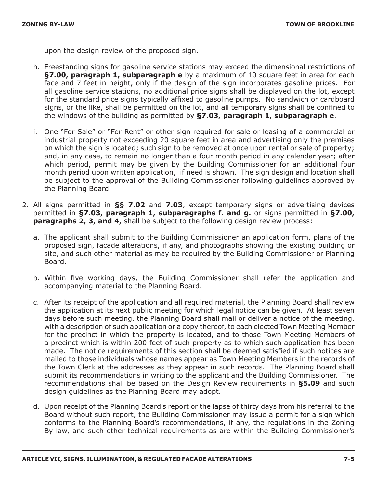upon the design review of the proposed sign.

- h. Freestanding signs for gasoline service stations may exceed the dimensional restrictions of **§7.00, paragraph 1, subparagraph e** by a maximum of 10 square feet in area for each face and 7 feet in height, only if the design of the sign incorporates gasoline prices. For all gasoline service stations, no additional price signs shall be displayed on the lot, except for the standard price signs typically affixed to gasoline pumps. No sandwich or cardboard signs, or the like, shall be permitted on the lot, and all temporary signs shall be confined to the windows of the building as permitted by **§7.03, paragraph 1, subparagraph e**.
- i. One "For Sale" or "For Rent" or other sign required for sale or leasing of a commercial or industrial property not exceeding 20 square feet in area and advertising only the premises on which the sign is located; such sign to be removed at once upon rental or sale of property; and, in any case, to remain no longer than a four month period in any calendar year; after which period, permit may be given by the Building Commissioner for an additional four month period upon written application, if need is shown. The sign design and location shall be subject to the approval of the Building Commissioner following guidelines approved by the Planning Board.
- 2. All signs permitted in **§§ 7.02** and **7.03**, except temporary signs or advertising devices permitted in **§7.03, paragraph 1, subparagraphs f. and g.** or signs permitted in **§7.00, paragraphs 2, 3, and 4,** shall be subject to the following design review process:
	- a. The applicant shall submit to the Building Commissioner an application form, plans of the proposed sign, facade alterations, if any, and photographs showing the existing building or site, and such other material as may be required by the Building Commissioner or Planning Board.
	- b. Within five working days, the Building Commissioner shall refer the application and accompanying material to the Planning Board.
	- c. After its receipt of the application and all required material, the Planning Board shall review the application at its next public meeting for which legal notice can be given. At least seven days before such meeting, the Planning Board shall mail or deliver a notice of the meeting, with a description of such application or a copy thereof, to each elected Town Meeting Member for the precinct in which the property is located, and to those Town Meeting Members of a precinct which is within 200 feet of such property as to which such application has been made. The notice requirements of this section shall be deemed satisfied if such notices are mailed to those individuals whose names appear as Town Meeting Members in the records of the Town Clerk at the addresses as they appear in such records. The Planning Board shall submit its recommendations in writing to the applicant and the Building Commissioner. The recommendations shall be based on the Design Review requirements in **§5.09** and such design guidelines as the Planning Board may adopt.
	- d. Upon receipt of the Planning Board's report or the lapse of thirty days from his referral to the Board without such report, the Building Commissioner may issue a permit for a sign which conforms to the Planning Board's recommendations, if any, the regulations in the Zoning By-law, and such other technical requirements as are within the Building Commissioner's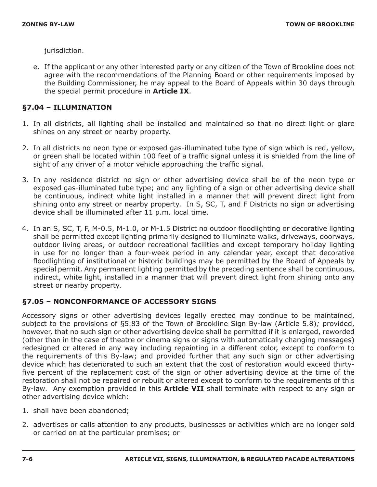jurisdiction.

e. If the applicant or any other interested party or any citizen of the Town of Brookline does not agree with the recommendations of the Planning Board or other requirements imposed by the Building Commissioner, he may appeal to the Board of Appeals within 30 days through the special permit procedure in **Article IX**.

### **§7.04 – ILLUMINATION**

- 1. In all districts, all lighting shall be installed and maintained so that no direct light or glare shines on any street or nearby property.
- 2. In all districts no neon type or exposed gas-illuminated tube type of sign which is red, yellow, or green shall be located within 100 feet of a traffic signal unless it is shielded from the line of sight of any driver of a motor vehicle approaching the traffic signal.
- 3. In any residence district no sign or other advertising device shall be of the neon type or exposed gas-illuminated tube type; and any lighting of a sign or other advertising device shall be continuous, indirect white light installed in a manner that will prevent direct light from shining onto any street or nearby property. In S, SC, T, and F Districts no sign or advertising device shall be illuminated after 11 p.m. local time.
- 4. In an S, SC, T, F, M-0.5, M-1.0, or M-1.5 District no outdoor floodlighting or decorative lighting shall be permitted except lighting primarily designed to illuminate walks, driveways, doorways, outdoor living areas, or outdoor recreational facilities and except temporary holiday lighting in use for no longer than a four-week period in any calendar year, except that decorative floodlighting of institutional or historic buildings may be permitted by the Board of Appeals by special permit. Any permanent lighting permitted by the preceding sentence shall be continuous, indirect, white light, installed in a manner that will prevent direct light from shining onto any street or nearby property.

### **§7.05 – NONCONFORMANCE OF ACCESSORY SIGNS**

Accessory signs or other advertising devices legally erected may continue to be maintained, subject to the provisions of §5.83 of the Town of Brookline Sign By-law (Article 5.8)*;* provided, however, that no such sign or other advertising device shall be permitted if it is enlarged, reworded (other than in the case of theatre or cinema signs or signs with automatically changing messages) redesigned or altered in any way including repainting in a different color, except to conform to the requirements of this By-law; and provided further that any such sign or other advertising device which has deteriorated to such an extent that the cost of restoration would exceed thirtyfive percent of the replacement cost of the sign or other advertising device at the time of the restoration shall not be repaired or rebuilt or altered except to conform to the requirements of this By-law. Any exemption provided in this **Article VII** shall terminate with respect to any sign or other advertising device which:

- 1. shall have been abandoned;
- 2. advertises or calls attention to any products, businesses or activities which are no longer sold or carried on at the particular premises; or